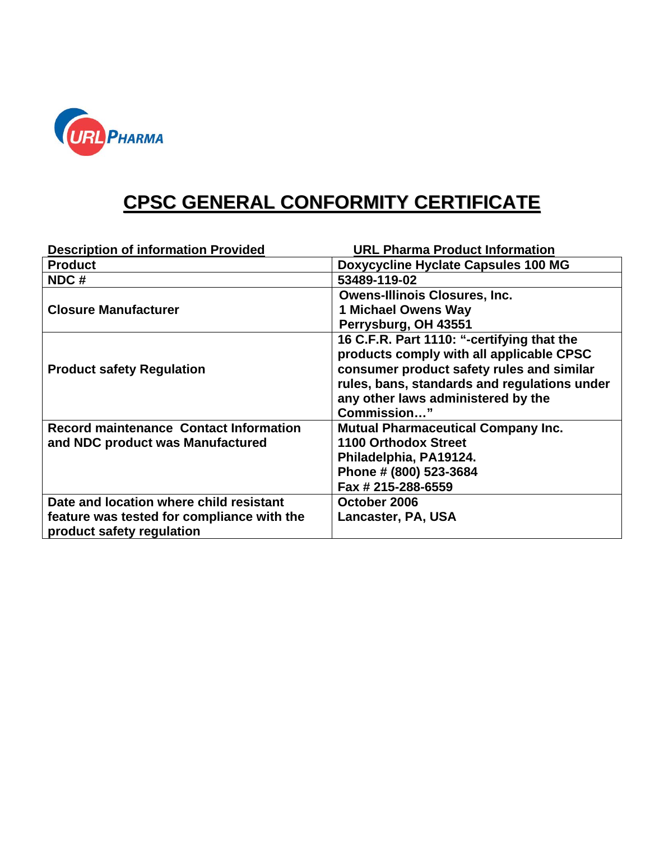

## **CPSC GENERAL CONFORMITY CERTIFICATE**

| <b>Description of information Provided</b>    | <b>URL Pharma Product Information</b>        |
|-----------------------------------------------|----------------------------------------------|
| <b>Product</b>                                | Doxycycline Hyclate Capsules 100 MG          |
| NDC#                                          | 53489-119-02                                 |
|                                               | <b>Owens-Illinois Closures, Inc.</b>         |
| <b>Closure Manufacturer</b>                   | <b>1 Michael Owens Way</b>                   |
|                                               | Perrysburg, OH 43551                         |
|                                               | 16 C.F.R. Part 1110: "-certifying that the   |
|                                               | products comply with all applicable CPSC     |
| <b>Product safety Regulation</b>              | consumer product safety rules and similar    |
|                                               | rules, bans, standards and regulations under |
|                                               | any other laws administered by the           |
|                                               | Commission"                                  |
| <b>Record maintenance Contact Information</b> | <b>Mutual Pharmaceutical Company Inc.</b>    |
| and NDC product was Manufactured              | <b>1100 Orthodox Street</b>                  |
|                                               | Philadelphia, PA19124.                       |
|                                               | Phone # (800) 523-3684                       |
|                                               | Fax # 215-288-6559                           |
| Date and location where child resistant       | October 2006                                 |
| feature was tested for compliance with the    | Lancaster, PA, USA                           |
| product safety regulation                     |                                              |